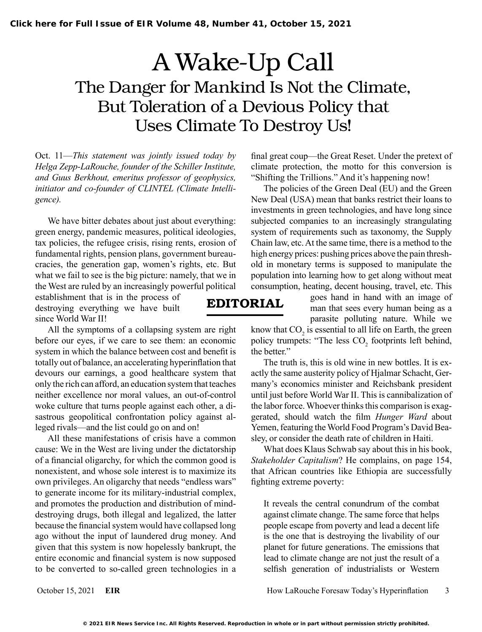## A Wake-Up Call The Danger for Mankind Is Not the Climate, But Toleration of a Devious Policy that Uses Climate To Destroy Us!

EDITORIAL

Oct. 11—*This statement was jointly issued today by Helga Zepp-LaRouche, founder of the Schiller Institute, and Guus Berkhout, emeritus professor of geophysics, initiator and co-founder of CLINTEL (Climate Intelligence).*

We have bitter debates about just about everything: green energy, pandemic measures, political ideologies, tax policies, the refugee crisis, rising rents, erosion of fundamental rights, pension plans, government bureaucracies, the generation gap, women's rights, etc. But what we fail to see is the big picture: namely, that we in the West are ruled by an increasingly powerful political

establishment that is in the process of destroying everything we have built since World War II!

All the symptoms of a collapsing system are right before our eyes, if we care to see them: an economic system in which the balance between cost and benefit is totally out of balance, an accelerating hyperinflation that devours our earnings, a good healthcare system that only the rich can afford, an education system that teaches neither excellence nor moral values, an out-of-control woke culture that turns people against each other, a disastrous geopolitical confrontation policy against alleged rivals—and the list could go on and on!

All these manifestations of crisis have a common cause: We in the West are living under the dictatorship of a financial oligarchy, for which the common good is nonexistent, and whose sole interest is to maximize its own privileges. An oligarchy that needs "endless wars" to generate income for its military-industrial complex, and promotes the production and distribution of minddestroying drugs, both illegal and legalized, the latter because the financial system would have collapsed long ago without the input of laundered drug money. And given that this system is now hopelessly bankrupt, the entire economic and financial system is now supposed to be converted to so-called green technologies in a final great coup—the Great Reset. Under the pretext of climate protection, the motto for this conversion is "Shifting the Trillions." And it's happening now!

The policies of the Green Deal (EU) and the Green New Deal (USA) mean that banks restrict their loans to investments in green technologies, and have long since subjected companies to an increasingly strangulating system of requirements such as taxonomy, the Supply Chain law, etc. At the same time, there is a method to the high energy prices: pushing prices above the pain threshold in monetary terms is supposed to manipulate the population into learning how to get along without meat consumption, heating, decent housing, travel, etc. This

> goes hand in hand with an image of man that sees every human being as a parasite polluting nature. While we

know that  $CO<sub>2</sub>$  is essential to all life on Earth, the green policy trumpets: "The less  $CO<sub>2</sub>$  footprints left behind, the better."

The truth is, this is old wine in new bottles. It is exactly the same austerity policy of Hjalmar Schacht, Germany's economics minister and Reichsbank president until just before World War II. This is cannibalization of the labor force. Whoever thinks this comparison is exaggerated, should watch the film *Hunger Ward* about Yemen, featuring theWorld Food Program's David Beasley, or consider the death rate of children in Haiti.

What does Klaus Schwab say about this in his book, *Stakeholder Capitalism*? He complains, on page 154, that African countries like Ethiopia are successfully fighting extreme poverty:

It reveals the central conundrum of the combat against climate change. The same force that helps people escape from poverty and lead a decent life is the one that is destroying the livability of our planet for future generations. The emissions that lead to climate change are not just the result of a selfish generation of industrialists or Western

October 15, 2021 **EIR** How LaRouche Foresaw Today's Hyperinflation 3